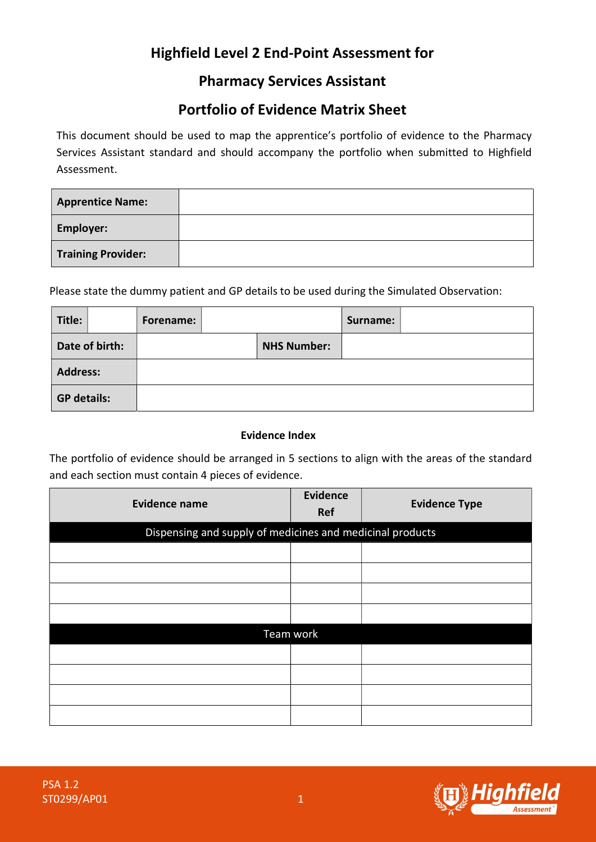# Highfield Level 2 End-Point Assessment for

## Pharmacy Services Assistant

## Portfolio of Evidence Matrix Sheet

This document should be used to map the apprentice's portfolio of evidence to the Pharmacy Services Assistant standard and should accompany the portfolio when submitted to Highfield Assessment.

| <b>Apprentice Name:</b>   |  |
|---------------------------|--|
| <b>Employer:</b>          |  |
| <b>Training Provider:</b> |  |

Please state the dummy patient and GP details to be used during the Simulated Observation:

| Title:             |                | Forename: |                    | Surname: |  |
|--------------------|----------------|-----------|--------------------|----------|--|
|                    | Date of birth: |           | <b>NHS Number:</b> |          |  |
| <b>Address:</b>    |                |           |                    |          |  |
| <b>GP details:</b> |                |           |                    |          |  |

#### Evidence Index

The portfolio of evidence should be arranged in 5 sections to align with the areas of the standard and each section must contain 4 pieces of evidence.

| <b>Evidence name</b> | <b>Evidence</b><br>Ref                                    | <b>Evidence Type</b> |  |  |  |  |
|----------------------|-----------------------------------------------------------|----------------------|--|--|--|--|
|                      | Dispensing and supply of medicines and medicinal products |                      |  |  |  |  |
|                      |                                                           |                      |  |  |  |  |
|                      |                                                           |                      |  |  |  |  |
|                      |                                                           |                      |  |  |  |  |
|                      |                                                           |                      |  |  |  |  |
|                      | Team work                                                 |                      |  |  |  |  |
|                      |                                                           |                      |  |  |  |  |
|                      |                                                           |                      |  |  |  |  |
|                      |                                                           |                      |  |  |  |  |
|                      |                                                           |                      |  |  |  |  |

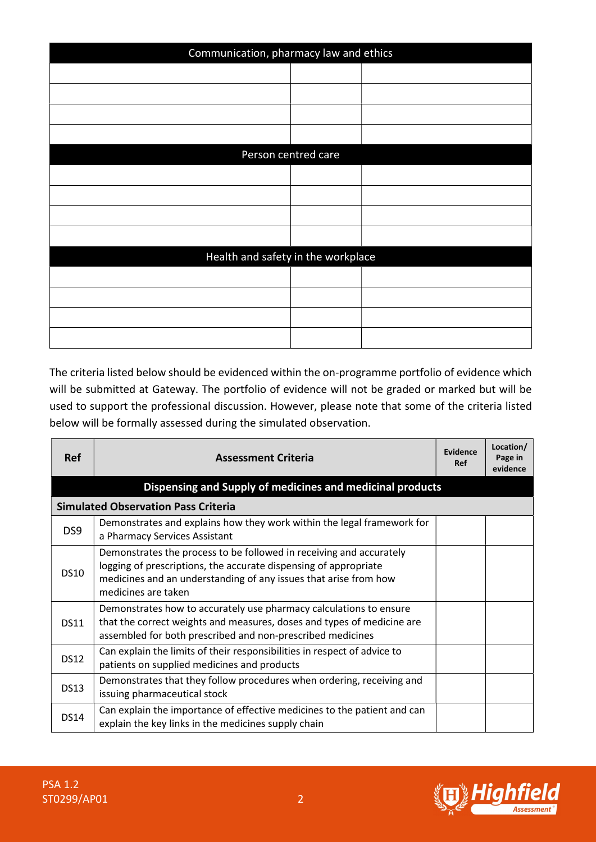| Communication, pharmacy law and ethics |                     |  |  |  |
|----------------------------------------|---------------------|--|--|--|
|                                        |                     |  |  |  |
|                                        |                     |  |  |  |
|                                        |                     |  |  |  |
|                                        |                     |  |  |  |
|                                        | Person centred care |  |  |  |
|                                        |                     |  |  |  |
|                                        |                     |  |  |  |
|                                        |                     |  |  |  |
|                                        |                     |  |  |  |
| Health and safety in the workplace     |                     |  |  |  |
|                                        |                     |  |  |  |
|                                        |                     |  |  |  |
|                                        |                     |  |  |  |
|                                        |                     |  |  |  |

The criteria listed below should be evidenced within the on-programme portfolio of evidence which will be submitted at Gateway. The portfolio of evidence will not be graded or marked but will be used to support the professional discussion. However, please note that some of the criteria listed below will be formally assessed during the simulated observation.

| <b>Ref</b>      | <b>Assessment Criteria</b>                                                                                                                                                                                                         | Evidence<br>Ref | Location/<br>Page in<br>evidence |
|-----------------|------------------------------------------------------------------------------------------------------------------------------------------------------------------------------------------------------------------------------------|-----------------|----------------------------------|
|                 | Dispensing and Supply of medicines and medicinal products                                                                                                                                                                          |                 |                                  |
|                 | <b>Simulated Observation Pass Criteria</b>                                                                                                                                                                                         |                 |                                  |
| DS <sub>9</sub> | Demonstrates and explains how they work within the legal framework for<br>a Pharmacy Services Assistant                                                                                                                            |                 |                                  |
| <b>DS10</b>     | Demonstrates the process to be followed in receiving and accurately<br>logging of prescriptions, the accurate dispensing of appropriate<br>medicines and an understanding of any issues that arise from how<br>medicines are taken |                 |                                  |
| <b>DS11</b>     | Demonstrates how to accurately use pharmacy calculations to ensure<br>that the correct weights and measures, doses and types of medicine are<br>assembled for both prescribed and non-prescribed medicines                         |                 |                                  |
| <b>DS12</b>     | Can explain the limits of their responsibilities in respect of advice to<br>patients on supplied medicines and products                                                                                                            |                 |                                  |
| <b>DS13</b>     | Demonstrates that they follow procedures when ordering, receiving and<br>issuing pharmaceutical stock                                                                                                                              |                 |                                  |
| <b>DS14</b>     | Can explain the importance of effective medicines to the patient and can<br>explain the key links in the medicines supply chain                                                                                                    |                 |                                  |

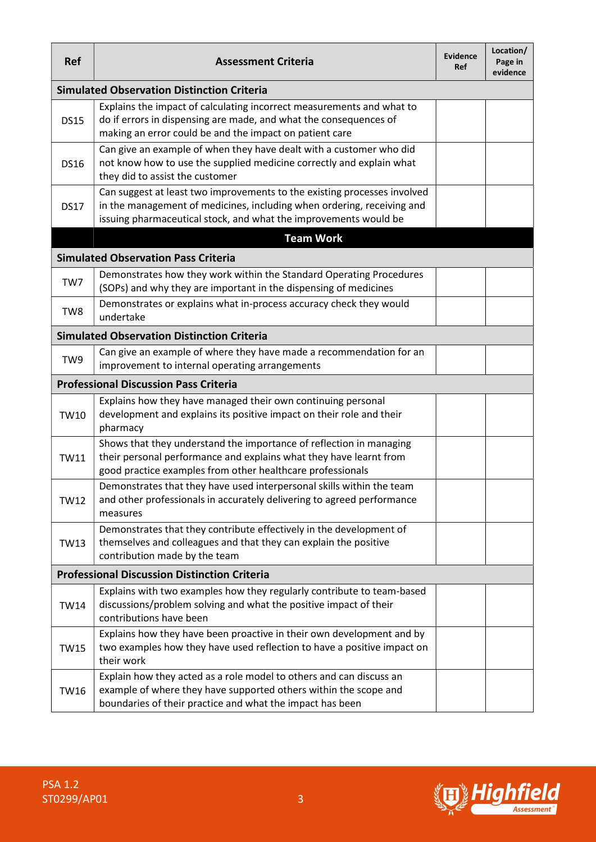| <b>Ref</b>                                          | <b>Assessment Criteria</b>                                                                                                                                                                                             | Evidence<br>Ref | Location/<br>Page in<br>evidence |  |  |  |
|-----------------------------------------------------|------------------------------------------------------------------------------------------------------------------------------------------------------------------------------------------------------------------------|-----------------|----------------------------------|--|--|--|
|                                                     | <b>Simulated Observation Distinction Criteria</b>                                                                                                                                                                      |                 |                                  |  |  |  |
| <b>DS15</b>                                         | Explains the impact of calculating incorrect measurements and what to<br>do if errors in dispensing are made, and what the consequences of<br>making an error could be and the impact on patient care                  |                 |                                  |  |  |  |
| <b>DS16</b>                                         | Can give an example of when they have dealt with a customer who did<br>not know how to use the supplied medicine correctly and explain what<br>they did to assist the customer                                         |                 |                                  |  |  |  |
| <b>DS17</b>                                         | Can suggest at least two improvements to the existing processes involved<br>in the management of medicines, including when ordering, receiving and<br>issuing pharmaceutical stock, and what the improvements would be |                 |                                  |  |  |  |
|                                                     | <b>Team Work</b>                                                                                                                                                                                                       |                 |                                  |  |  |  |
|                                                     | <b>Simulated Observation Pass Criteria</b>                                                                                                                                                                             |                 |                                  |  |  |  |
| TW7                                                 | Demonstrates how they work within the Standard Operating Procedures<br>(SOPs) and why they are important in the dispensing of medicines                                                                                |                 |                                  |  |  |  |
| TW8                                                 | Demonstrates or explains what in-process accuracy check they would<br>undertake                                                                                                                                        |                 |                                  |  |  |  |
|                                                     | <b>Simulated Observation Distinction Criteria</b>                                                                                                                                                                      |                 |                                  |  |  |  |
| TW9                                                 | Can give an example of where they have made a recommendation for an<br>improvement to internal operating arrangements                                                                                                  |                 |                                  |  |  |  |
|                                                     | <b>Professional Discussion Pass Criteria</b>                                                                                                                                                                           |                 |                                  |  |  |  |
| <b>TW10</b>                                         | Explains how they have managed their own continuing personal<br>development and explains its positive impact on their role and their<br>pharmacy                                                                       |                 |                                  |  |  |  |
| <b>TW11</b>                                         | Shows that they understand the importance of reflection in managing<br>their personal performance and explains what they have learnt from<br>good practice examples from other healthcare professionals                |                 |                                  |  |  |  |
| <b>TW12</b>                                         | Demonstrates that they have used interpersonal skills within the team<br>and other professionals in accurately delivering to agreed performance<br>measures                                                            |                 |                                  |  |  |  |
| <b>TW13</b>                                         | Demonstrates that they contribute effectively in the development of<br>themselves and colleagues and that they can explain the positive<br>contribution made by the team                                               |                 |                                  |  |  |  |
| <b>Professional Discussion Distinction Criteria</b> |                                                                                                                                                                                                                        |                 |                                  |  |  |  |
| <b>TW14</b>                                         | Explains with two examples how they regularly contribute to team-based<br>discussions/problem solving and what the positive impact of their<br>contributions have been                                                 |                 |                                  |  |  |  |
| <b>TW15</b>                                         | Explains how they have been proactive in their own development and by<br>two examples how they have used reflection to have a positive impact on<br>their work                                                         |                 |                                  |  |  |  |
| <b>TW16</b>                                         | Explain how they acted as a role model to others and can discuss an<br>example of where they have supported others within the scope and<br>boundaries of their practice and what the impact has been                   |                 |                                  |  |  |  |

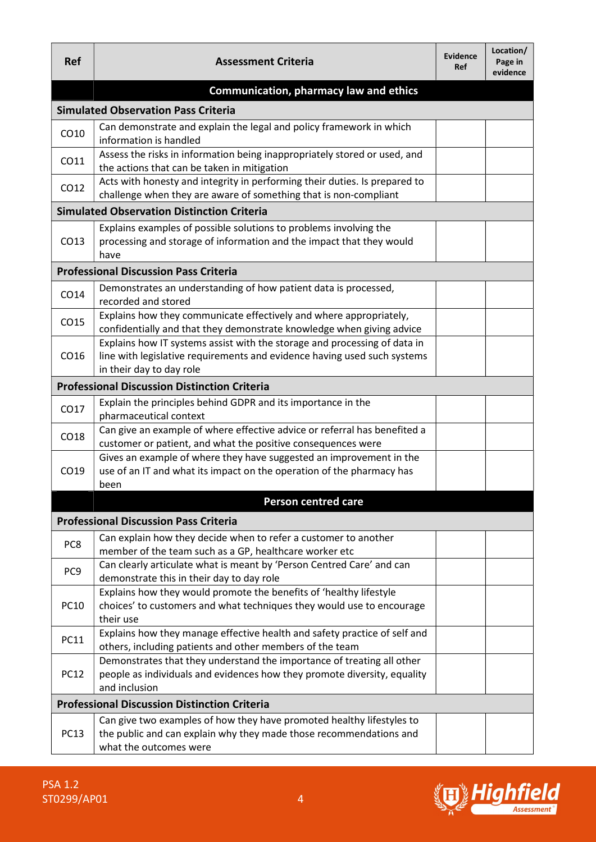| <b>Ref</b>      | <b>Assessment Criteria</b>                                                                                                                                                        | <b>Evidence</b><br><b>Ref</b> | Location/<br>Page in<br>evidence |
|-----------------|-----------------------------------------------------------------------------------------------------------------------------------------------------------------------------------|-------------------------------|----------------------------------|
|                 | <b>Communication, pharmacy law and ethics</b>                                                                                                                                     |                               |                                  |
|                 | <b>Simulated Observation Pass Criteria</b>                                                                                                                                        |                               |                                  |
| CO10            | Can demonstrate and explain the legal and policy framework in which<br>information is handled                                                                                     |                               |                                  |
| CO11            | Assess the risks in information being inappropriately stored or used, and<br>the actions that can be taken in mitigation                                                          |                               |                                  |
| CO12            | Acts with honesty and integrity in performing their duties. Is prepared to<br>challenge when they are aware of something that is non-compliant                                    |                               |                                  |
|                 | <b>Simulated Observation Distinction Criteria</b>                                                                                                                                 |                               |                                  |
| CO13            | Explains examples of possible solutions to problems involving the<br>processing and storage of information and the impact that they would<br>have                                 |                               |                                  |
|                 | <b>Professional Discussion Pass Criteria</b>                                                                                                                                      |                               |                                  |
| CO14            | Demonstrates an understanding of how patient data is processed,<br>recorded and stored                                                                                            |                               |                                  |
| CO15            | Explains how they communicate effectively and where appropriately,<br>confidentially and that they demonstrate knowledge when giving advice                                       |                               |                                  |
| CO16            | Explains how IT systems assist with the storage and processing of data in<br>line with legislative requirements and evidence having used such systems<br>in their day to day role |                               |                                  |
|                 | <b>Professional Discussion Distinction Criteria</b>                                                                                                                               |                               |                                  |
| CO17            | Explain the principles behind GDPR and its importance in the<br>pharmaceutical context                                                                                            |                               |                                  |
| CO18            | Can give an example of where effective advice or referral has benefited a<br>customer or patient, and what the positive consequences were                                         |                               |                                  |
| CO19            | Gives an example of where they have suggested an improvement in the<br>use of an IT and what its impact on the operation of the pharmacy has<br>been                              |                               |                                  |
|                 | Person centred care                                                                                                                                                               |                               |                                  |
|                 | <b>Professional Discussion Pass Criteria</b>                                                                                                                                      |                               |                                  |
| PC8             | Can explain how they decide when to refer a customer to another<br>member of the team such as a GP, healthcare worker etc                                                         |                               |                                  |
| PC <sub>9</sub> | Can clearly articulate what is meant by 'Person Centred Care' and can<br>demonstrate this in their day to day role                                                                |                               |                                  |
| <b>PC10</b>     | Explains how they would promote the benefits of 'healthy lifestyle<br>choices' to customers and what techniques they would use to encourage<br>their use                          |                               |                                  |
| <b>PC11</b>     | Explains how they manage effective health and safety practice of self and<br>others, including patients and other members of the team                                             |                               |                                  |
| <b>PC12</b>     | Demonstrates that they understand the importance of treating all other<br>people as individuals and evidences how they promote diversity, equality<br>and inclusion               |                               |                                  |
|                 | <b>Professional Discussion Distinction Criteria</b>                                                                                                                               |                               |                                  |
| <b>PC13</b>     | Can give two examples of how they have promoted healthy lifestyles to<br>the public and can explain why they made those recommendations and<br>what the outcomes were             |                               |                                  |